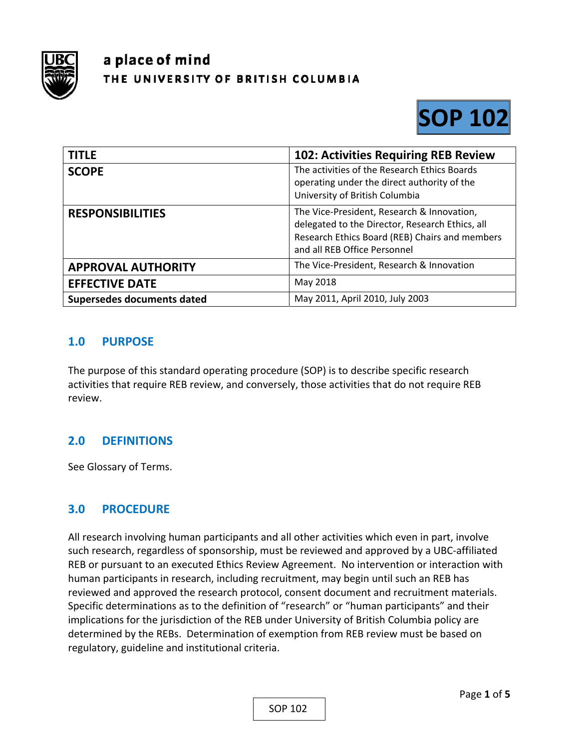

# a place of mind THE UNIVERSITY OF BRITISH COLUMBIA



| <b>TITLE</b>               | <b>102: Activities Requiring REB Review</b>                                                                                                                                     |
|----------------------------|---------------------------------------------------------------------------------------------------------------------------------------------------------------------------------|
| <b>SCOPE</b>               | The activities of the Research Ethics Boards<br>operating under the direct authority of the<br>University of British Columbia                                                   |
| <b>RESPONSIBILITIES</b>    | The Vice-President, Research & Innovation,<br>delegated to the Director, Research Ethics, all<br>Research Ethics Board (REB) Chairs and members<br>and all REB Office Personnel |
| <b>APPROVAL AUTHORITY</b>  | The Vice-President, Research & Innovation                                                                                                                                       |
| <b>EFFECTIVE DATE</b>      | May 2018                                                                                                                                                                        |
| Supersedes documents dated | May 2011, April 2010, July 2003                                                                                                                                                 |

## **1.0 PURPOSE**

The purpose of this standard operating procedure (SOP) is to describe specific research activities that require REB review, and conversely, those activities that do not require REB review.

## **2.0 DEFINITIONS**

See Glossary of Terms.

#### **3.0 PROCEDURE**

All research involving human participants and all other activities which even in part, involve such research, regardless of sponsorship, must be reviewed and approved by a UBC‐affiliated REB or pursuant to an executed Ethics Review Agreement. No intervention or interaction with human participants in research, including recruitment, may begin until such an REB has reviewed and approved the research protocol, consent document and recruitment materials. Specific determinations as to the definition of "research" or "human participants" and their implications for the jurisdiction of the REB under University of British Columbia policy are determined by the REBs. Determination of exemption from REB review must be based on regulatory, guideline and institutional criteria.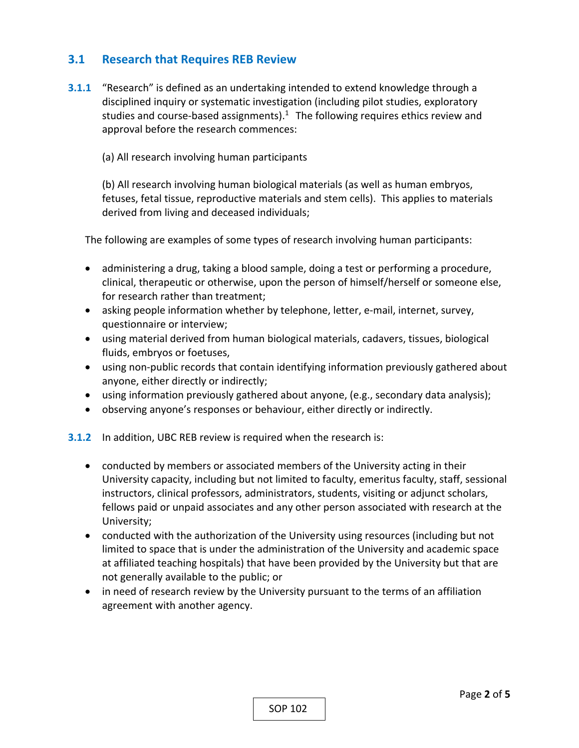## **3.1 Research that Requires REB Review**

**3.1.1** "Research" is defined as an undertaking intended to extend knowledge through a disciplined inquiry or systematic investigation (including pilot studies, exploratory studies and course-based assignments). $1$  The following requires ethics review and approval before the research commences:

(a) All research involving human participants

(b) All research involving human biological materials (as well as human embryos, fetuses, fetal tissue, reproductive materials and stem cells). This applies to materials derived from living and deceased individuals;

The following are examples of some types of research involving human participants:

- administering a drug, taking a blood sample, doing a test or performing a procedure, clinical, therapeutic or otherwise, upon the person of himself/herself or someone else, for research rather than treatment;
- asking people information whether by telephone, letter, e-mail, internet, survey, questionnaire or interview;
- using material derived from human biological materials, cadavers, tissues, biological fluids, embryos or foetuses,
- using non-public records that contain identifying information previously gathered about anyone, either directly or indirectly;
- using information previously gathered about anyone, (e.g., secondary data analysis);
- observing anyone's responses or behaviour, either directly or indirectly.

**3.1.2** In addition, UBC REB review is required when the research is:

- conducted by members or associated members of the University acting in their University capacity, including but not limited to faculty, emeritus faculty, staff, sessional instructors, clinical professors, administrators, students, visiting or adjunct scholars, fellows paid or unpaid associates and any other person associated with research at the University;
- conducted with the authorization of the University using resources (including but not limited to space that is under the administration of the University and academic space at affiliated teaching hospitals) that have been provided by the University but that are not generally available to the public; or
- in need of research review by the University pursuant to the terms of an affiliation agreement with another agency.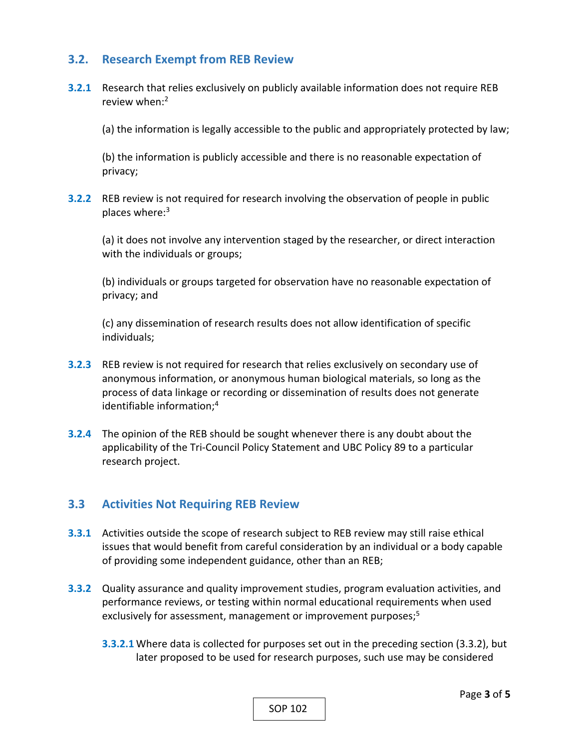## **3.2. Research Exempt from REB Review**

**3.2.1** Research that relies exclusively on publicly available information does not require REB review when:<sup>2</sup>

(a) the information is legally accessible to the public and appropriately protected by law;

(b) the information is publicly accessible and there is no reasonable expectation of privacy;

**3.2.2** REB review is not required for research involving the observation of people in public places where:<sup>3</sup>

(a) it does not involve any intervention staged by the researcher, or direct interaction with the individuals or groups;

(b) individuals or groups targeted for observation have no reasonable expectation of privacy; and

(c) any dissemination of research results does not allow identification of specific individuals;

- **3.2.3** REB review is not required for research that relies exclusively on secondary use of anonymous information, or anonymous human biological materials, so long as the process of data linkage or recording or dissemination of results does not generate identifiable information;4
- **3.2.4** The opinion of the REB should be sought whenever there is any doubt about the applicability of the Tri‐Council Policy Statement and UBC Policy 89 to a particular research project.

#### **3.3 Activities Not Requiring REB Review**

- **3.3.1** Activities outside the scope of research subject to REB review may still raise ethical issues that would benefit from careful consideration by an individual or a body capable of providing some independent guidance, other than an REB;
- **3.3.2** Quality assurance and quality improvement studies, program evaluation activities, and performance reviews, or testing within normal educational requirements when used exclusively for assessment, management or improvement purposes;<sup>5</sup>
	- **3.3.2.1** Where data is collected for purposes set out in the preceding section (3.3.2), but later proposed to be used for research purposes, such use may be considered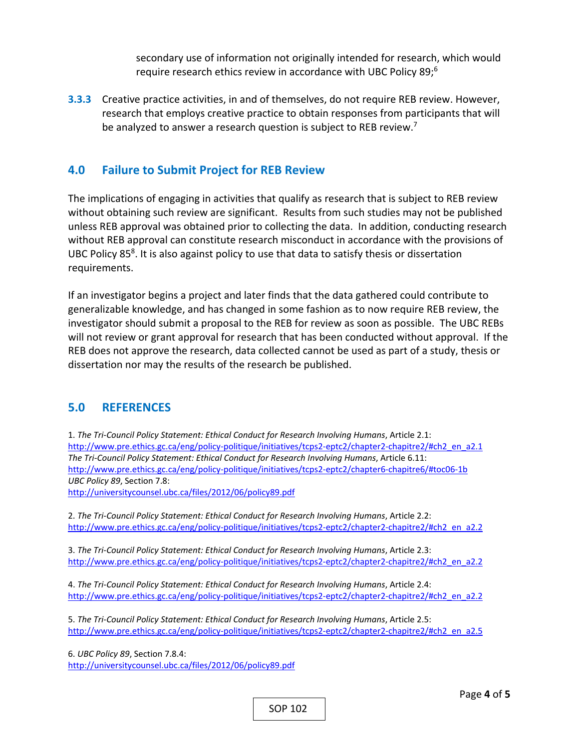secondary use of information not originally intended for research, which would require research ethics review in accordance with UBC Policy 89; 6

**3.3.3** Creative practice activities, in and of themselves, do not require REB review. However, research that employs creative practice to obtain responses from participants that will be analyzed to answer a research question is subject to REB review.<sup>7</sup>

# **4.0 Failure to Submit Project for REB Review**

The implications of engaging in activities that qualify as research that is subject to REB review without obtaining such review are significant. Results from such studies may not be published unless REB approval was obtained prior to collecting the data. In addition, conducting research without REB approval can constitute research misconduct in accordance with the provisions of UBC Policy 858. It is also against policy to use that data to satisfy thesis or dissertation requirements.

If an investigator begins a project and later finds that the data gathered could contribute to generalizable knowledge, and has changed in some fashion as to now require REB review, the investigator should submit a proposal to the REB for review as soon as possible. The UBC REBs will not review or grant approval for research that has been conducted without approval. If the REB does not approve the research, data collected cannot be used as part of a study, thesis or dissertation nor may the results of the research be published.

## **5.0 REFERENCES**

1. *The Tri‐Council Policy Statement: Ethical Conduct for Research Involving Humans*, Article 2.1: http://www.pre.ethics.gc.ca/eng/policy-politique/initiatives/tcps2-eptc2/chapter2-chapitre2/#ch2\_en\_a2.1 *The Tri‐Council Policy Statement: Ethical Conduct for Research Involving Humans*, Article 6.11: http://www.pre.ethics.gc.ca/eng/policy‐politique/initiatives/tcps2‐eptc2/chapter6‐chapitre6/#toc06‐1b *UBC Policy 89*, Section 7.8:

http://universitycounsel.ubc.ca/files/2012/06/policy89.pdf

2. *The Tri‐Council Policy Statement: Ethical Conduct for Research Involving Humans*, Article 2.2: http://www.pre.ethics.gc.ca/eng/policy-politique/initiatives/tcps2-eptc2/chapter2-chapitre2/#ch2\_en\_a2.2

3. *The Tri‐Council Policy Statement: Ethical Conduct for Research Involving Humans*, Article 2.3: http://www.pre.ethics.gc.ca/eng/policy-politique/initiatives/tcps2-eptc2/chapter2-chapitre2/#ch2\_en\_a2.2

4. *The Tri‐Council Policy Statement: Ethical Conduct for Research Involving Humans*, Article 2.4: http://www.pre.ethics.gc.ca/eng/policy-politique/initiatives/tcps2-eptc2/chapter2-chapitre2/#ch2\_en\_a2.2

5. *The Tri‐Council Policy Statement: Ethical Conduct for Research Involving Humans*, Article 2.5: http://www.pre.ethics.gc.ca/eng/policy-politique/initiatives/tcps2-eptc2/chapter2-chapitre2/#ch2\_en\_a2.5

6. *UBC Policy 89*, Section 7.8.4: http://universitycounsel.ubc.ca/files/2012/06/policy89.pdf